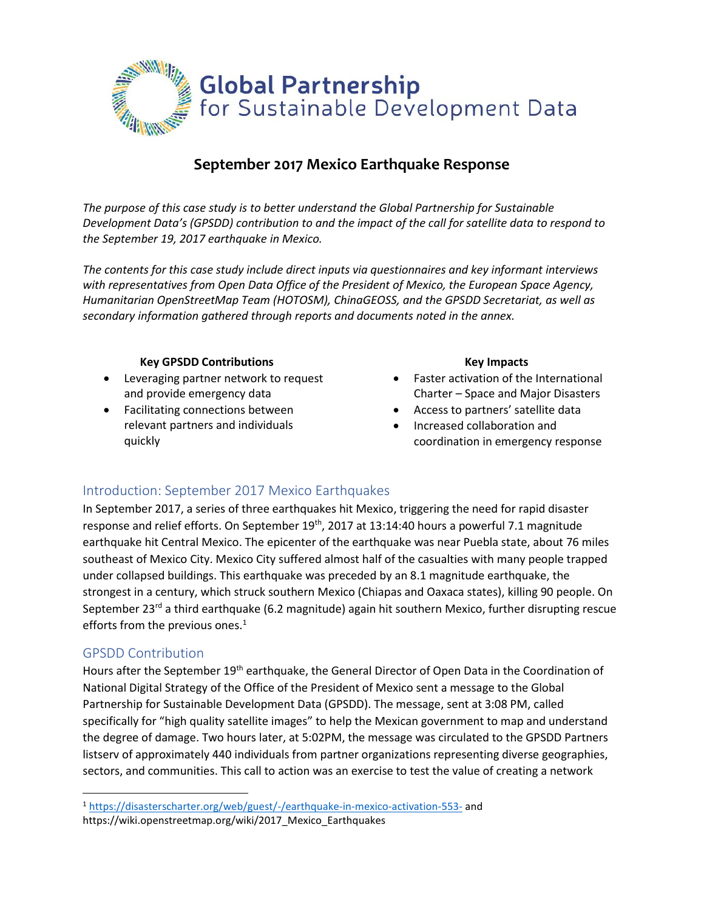

# **September 2017 Mexico Earthquake Response**

*The purpose of this case study is to better understand the Global Partnership for Sustainable Development Data's (GPSDD) contribution to and the impact of the call for satellite data to respond to the September 19, 2017 earthquake in Mexico.* 

*The contents for this case study include direct inputs via questionnaires and key informant interviews with representatives from Open Data Office of the President of Mexico, the European Space Agency, Humanitarian OpenStreetMap Team (HOTOSM), ChinaGEOSS, and the GPSDD Secretariat, as well as secondary information gathered through reports and documents noted in the annex.* 

### **Key GPSDD Contributions**

- Leveraging partner network to request and provide emergency data
- Facilitating connections between relevant partners and individuals quickly

#### **Key Impacts**

- Faster activation of the International Charter – Space and Major Disasters
- Access to partners' satellite data
- Increased collaboration and coordination in emergency response

## Introduction: September 2017 Mexico Earthquakes

In September 2017, a series of three earthquakes hit Mexico, triggering the need for rapid disaster response and relief efforts. On September 19<sup>th</sup>, 2017 at 13:14:40 hours a powerful 7.1 magnitude earthquake hit Central Mexico. The epicenter of the earthquake was near Puebla state, about 76 miles southeast of Mexico City. Mexico City suffered almost half of the casualties with many people trapped under collapsed buildings. This earthquake was preceded by an 8.1 magnitude earthquake, the strongest in a century, which struck southern Mexico (Chiapas and Oaxaca states), killing 90 people. On September 23<sup>rd</sup> a third earthquake (6.2 magnitude) again hit southern Mexico, further disrupting rescue efforts from the previous ones.<sup>1</sup>

## GPSDD Contribution

 $\overline{\phantom{a}}$ 

Hours after the September 19<sup>th</sup> earthquake, the General Director of Open Data in the Coordination of National Digital Strategy of the Office of the President of Mexico sent a message to the Global Partnership for Sustainable Development Data (GPSDD). The message, sent at 3:08 PM, called specifically for "high quality satellite images" to help the Mexican government to map and understand the degree of damage. Two hours later, at 5:02PM, the message was circulated to the GPSDD Partners listserv of approximately 440 individuals from partner organizations representing diverse geographies, sectors, and communities. This call to action was an exercise to test the value of creating a network

<sup>1</sup> <https://disasterscharter.org/web/guest/-/earthquake-in-mexico-activation-553-> and

https://wiki.openstreetmap.org/wiki/2017\_Mexico\_Earthquakes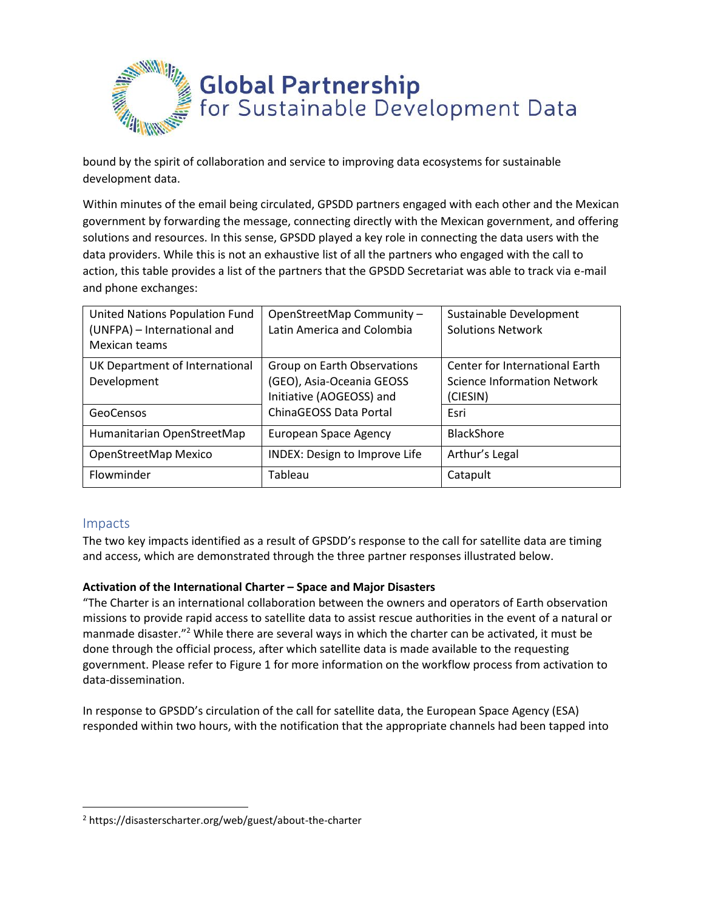

bound by the spirit of collaboration and service to improving data ecosystems for sustainable development data.

Within minutes of the email being circulated, GPSDD partners engaged with each other and the Mexican government by forwarding the message, connecting directly with the Mexican government, and offering solutions and resources. In this sense, GPSDD played a key role in connecting the data users with the data providers. While this is not an exhaustive list of all the partners who engaged with the call to action, this table provides a list of the partners that the GPSDD Secretariat was able to track via e-mail and phone exchanges:

| <b>United Nations Population Fund</b><br>(UNFPA) - International and<br>Mexican teams | OpenStreetMap Community -<br>Latin America and Colombia                                                        | Sustainable Development<br><b>Solutions Network</b>                                      |
|---------------------------------------------------------------------------------------|----------------------------------------------------------------------------------------------------------------|------------------------------------------------------------------------------------------|
| UK Department of International<br>Development<br>GeoCensos                            | Group on Earth Observations<br>(GEO), Asia-Oceania GEOSS<br>Initiative (AOGEOSS) and<br>ChinaGEOSS Data Portal | Center for International Earth<br><b>Science Information Network</b><br>(CIESIN)<br>Esri |
| Humanitarian OpenStreetMap                                                            | <b>European Space Agency</b>                                                                                   | <b>BlackShore</b>                                                                        |
| OpenStreetMap Mexico                                                                  | <b>INDEX: Design to Improve Life</b>                                                                           | Arthur's Legal                                                                           |
| Flowminder                                                                            | Tableau                                                                                                        | Catapult                                                                                 |

## Impacts

 $\overline{\phantom{a}}$ 

The two key impacts identified as a result of GPSDD's response to the call for satellite data are timing and access, which are demonstrated through the three partner responses illustrated below.

## **Activation of the International Charter – Space and Major Disasters**

"The Charter is an international collaboration between the owners and operators of Earth observation missions to provide rapid access to satellite data to assist rescue authorities in the event of a natural or manmade disaster."<sup>2</sup> While there are several ways in which the charter can be activated, it must be done through the official process, after which satellite data is made available to the requesting government. Please refer to Figure 1 for more information on the workflow process from activation to data-dissemination.

In response to GPSDD's circulation of the call for satellite data, the European Space Agency (ESA) responded within two hours, with the notification that the appropriate channels had been tapped into

<sup>2</sup> https://disasterscharter.org/web/guest/about-the-charter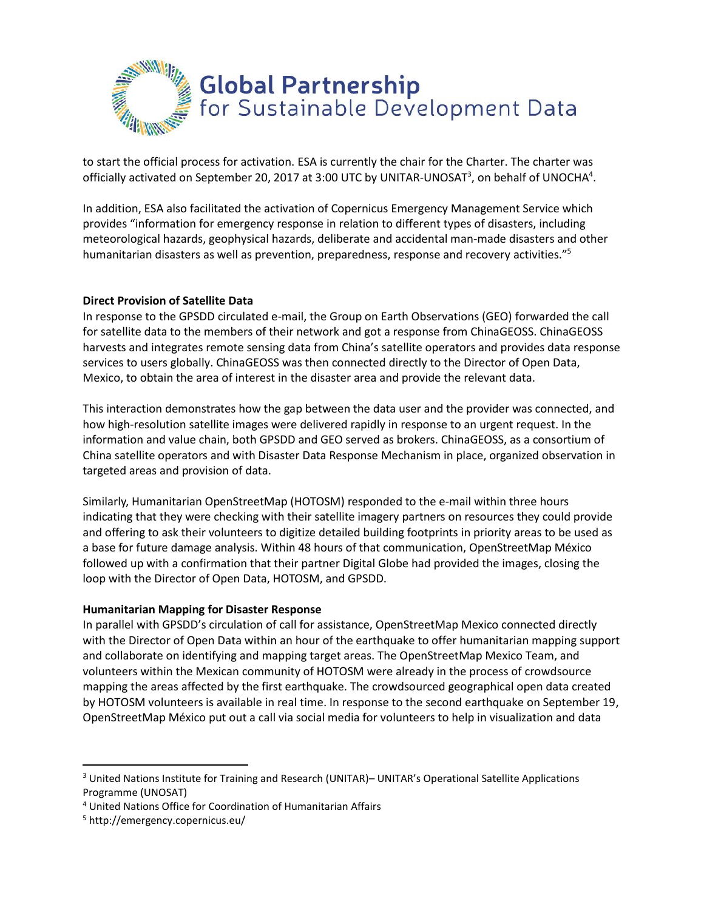

to start the official process for activation. ESA is currently the chair for the Charter. The charter was officially activated on September 20, 2017 at 3:00 UTC by UNITAR-UNOSAT<sup>3</sup>, on behalf of UNOCHA<sup>4</sup>.

In addition, ESA also facilitated the activation of Copernicus Emergency Management Service which provides "information for emergency response in relation to different types of disasters, including meteorological hazards, geophysical hazards, deliberate and accidental man-made disasters and other humanitarian disasters as well as prevention, preparedness, response and recovery activities."<sup>5</sup>

### **Direct Provision of Satellite Data**

In response to the GPSDD circulated e-mail, the Group on Earth Observations (GEO) forwarded the call for satellite data to the members of their network and got a response from ChinaGEOSS. ChinaGEOSS harvests and integrates remote sensing data from China's satellite operators and provides data response services to users globally. ChinaGEOSS was then connected directly to the Director of Open Data, Mexico, to obtain the area of interest in the disaster area and provide the relevant data.

This interaction demonstrates how the gap between the data user and the provider was connected, and how high-resolution satellite images were delivered rapidly in response to an urgent request. In the information and value chain, both GPSDD and GEO served as brokers. ChinaGEOSS, as a consortium of China satellite operators and with Disaster Data Response Mechanism in place, organized observation in targeted areas and provision of data.

Similarly, Humanitarian OpenStreetMap (HOTOSM) responded to the e-mail within three hours indicating that they were checking with their satellite imagery partners on resources they could provide and offering to ask their volunteers to digitize detailed building footprints in priority areas to be used as a base for future damage analysis. Within 48 hours of that communication, OpenStreetMap México followed up with a confirmation that their partner Digital Globe had provided the images, closing the loop with the Director of Open Data, HOTOSM, and GPSDD.

### **Humanitarian Mapping for Disaster Response**

In parallel with GPSDD's circulation of call for assistance, OpenStreetMap Mexico connected directly with the Director of Open Data within an hour of the earthquake to offer humanitarian mapping support and collaborate on identifying and mapping target areas. The OpenStreetMap Mexico Team, and volunteers within the Mexican community of HOTOSM were already in the process of crowdsource mapping the areas affected by the first earthquake. The crowdsourced geographical open data created by HOTOSM volunteers is available in real time. In response to the second earthquake on September 19, OpenStreetMap México put out a call via social media for volunteers to help in visualization and data

l

<sup>&</sup>lt;sup>3</sup> United Nations Institute for Training and Research (UNITAR) – UNITAR's Operational Satellite Applications Programme (UNOSAT)

<sup>4</sup> United Nations Office for Coordination of Humanitarian Affairs

<sup>5</sup> http://emergency.copernicus.eu/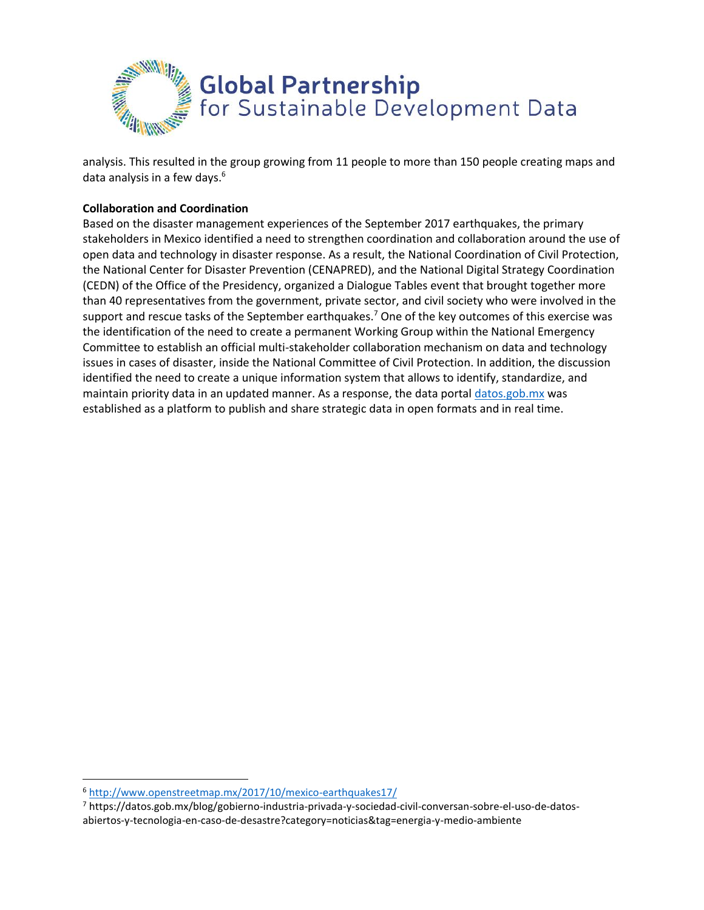

analysis. This resulted in the group growing from 11 people to more than 150 people creating maps and data analysis in a few days.<sup>6</sup>

## **Collaboration and Coordination**

Based on the disaster management experiences of the September 2017 earthquakes, the primary stakeholders in Mexico identified a need to strengthen coordination and collaboration around the use of open data and technology in disaster response. As a result, the National Coordination of Civil Protection, the National Center for Disaster Prevention (CENAPRED), and the National Digital Strategy Coordination (CEDN) of the Office of the Presidency, organized a Dialogue Tables event that brought together more than 40 representatives from the government, private sector, and civil society who were involved in the support and rescue tasks of the September earthquakes.<sup>7</sup> One of the key outcomes of this exercise was the identification of the need to create a permanent Working Group within the National Emergency Committee to establish an official multi-stakeholder collaboration mechanism on data and technology issues in cases of disaster, inside the National Committee of Civil Protection. In addition, the discussion identified the need to create a unique information system that allows to identify, standardize, and maintain priority data in an updated manner. As a response, the data portal [datos.gob.mx](http://www.datos.gob.mx/) was established as a platform to publish and share strategic data in open formats and in real time.

 $\overline{a}$ 

<sup>6</sup> <http://www.openstreetmap.mx/2017/10/mexico-earthquakes17/>

<sup>7</sup> https://datos.gob.mx/blog/gobierno-industria-privada-y-sociedad-civil-conversan-sobre-el-uso-de-datosabiertos-y-tecnologia-en-caso-de-desastre?category=noticias&tag=energia-y-medio-ambiente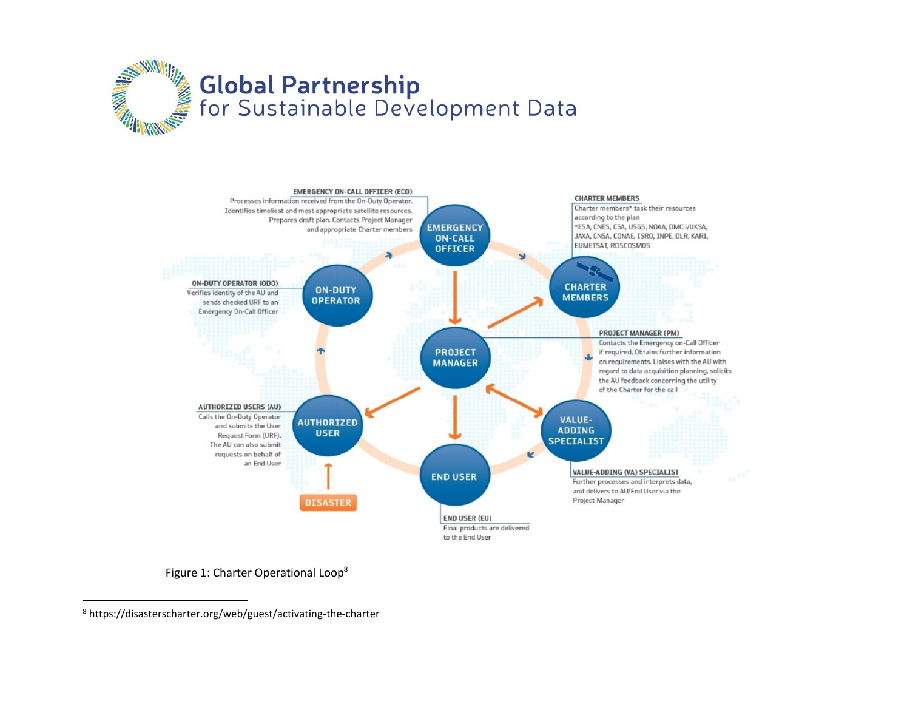



Figure 1: Charter Operational Loop<sup>8</sup>

 $\overline{\phantom{a}}$ 

<sup>8</sup> https://disasterscharter.org/web/guest/activating-the-charter